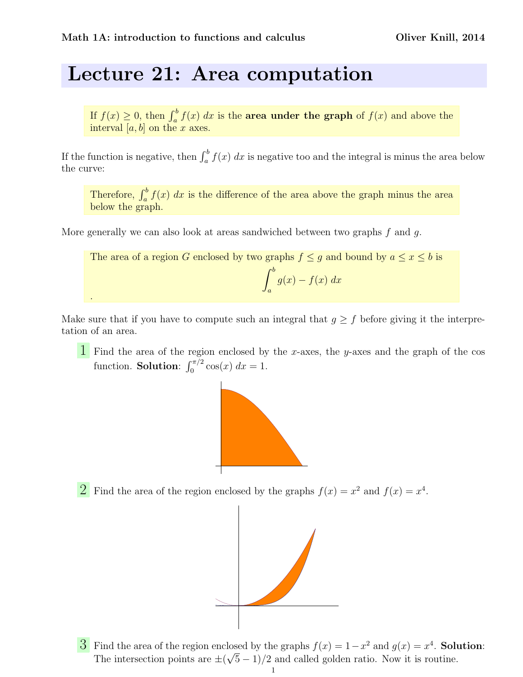.

## Lecture 21: Area computation

If  $f(x) \geq 0$ , then  $\int_a^b f(x) dx$  is the **area under the graph** of  $f(x)$  and above the interval  $[a, b]$  on the x axes.

If the function is negative, then  $\int_a^b f(x) dx$  is negative too and the integral is minus the area below the curve:

Therefore,  $\int_a^b f(x) dx$  is the difference of the area above the graph minus the area below the graph.

More generally we can also look at areas sandwiched between two graphs  $f$  and  $g$ .

The area of a region G enclosed by two graphs 
$$
f \le g
$$
 and bound by  $a \le x \le b$  is  

$$
\int_a^b g(x) - f(x) dx
$$

Make sure that if you have to compute such an integral that  $g \geq f$  before giving it the interpretation of an area.

 $\overline{1}$  Find the area of the region enclosed by the x-axes, the y-axes and the graph of the cos function. **Solution**:  $\int_0^{\pi/2} \cos(x) dx = 1$ .



**2** Find the area of the region enclosed by the graphs  $f(x) = x^2$  and  $f(x) = x^4$ .



3 Find the area of the region enclosed by the graphs  $f(x) = 1 - x^2$  and  $g(x) = x^4$ . Solution: The intersection points are  $\pm(\sqrt{5}-1)/2$  and called golden ratio. Now it is routine.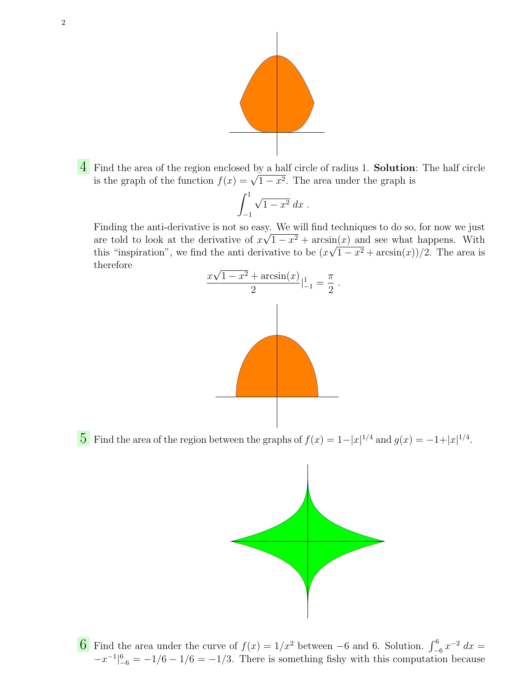

4 Find the area of the region enclosed by a half circle of radius 1. Solution: The half circle r ind the area of the region enclosed by a nam circle of radius 1. **Solution**<br>is the graph of the function  $f(x) = \sqrt{1 - x^2}$ . The area under the graph is

$$
\int_{-1}^1 \sqrt{1-x^2} \, dx \; .
$$

Finding the anti-derivative is not so easy. We will find techniques to do so, for now we just are told to look at the derivative of  $x\sqrt{1-x^2} + \arcsin(x)$  and see what happens. With this "inspiration", we find the anti-derivative to be  $(x\sqrt{1-x^2} + \arcsin(x))/2$ . The area is therefore √



5 Find the area of the region between the graphs of  $f(x) = 1 - |x|^{1/4}$  and  $g(x) = -1 + |x|^{1/4}$ .



6 Find the area under the curve of  $f(x) = 1/x^2$  between −6 and 6. Solution.  $\int_{-6}^{6} x^{-2} dx =$  $-x^{-1}\vert_{-6}^{6} = -1/6 - 1/6 = -1/3$ . There is something fishy with this computation because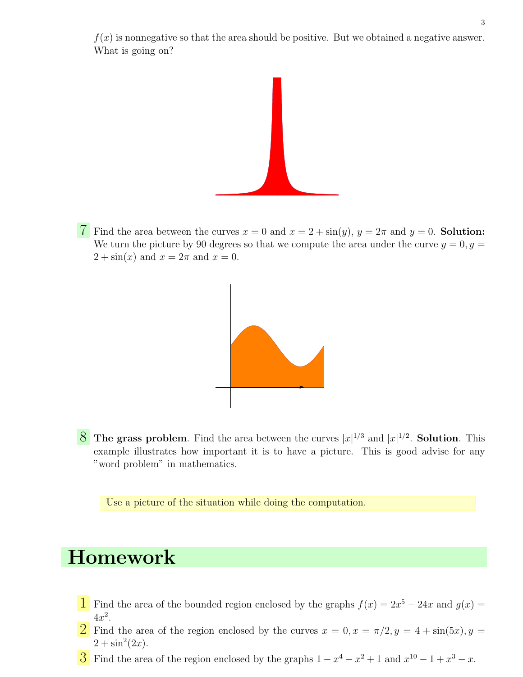$f(x)$  is nonnegative so that the area should be positive. But we obtained a negative answer. What is going on?



7 Find the area between the curves  $x = 0$  and  $x = 2 + \sin(y)$ ,  $y = 2\pi$  and  $y = 0$ . Solution: We turn the picture by 90 degrees so that we compute the area under the curve  $y = 0, y =$  $2 + \sin(x)$  and  $x = 2\pi$  and  $x = 0$ .



 $8$  The grass problem. Find the area between the curves  $|x|^{1/3}$  and  $|x|^{1/2}$ . Solution. This example illustrates how important it is to have a picture. This is good advise for any "word problem" in mathematics.

Use a picture of the situation while doing the computation.

## Homework

- **1** Find the area of the bounded region enclosed by the graphs  $f(x) = 2x^5 24x$  and  $g(x) =$  $4x^2$ .
- 2 Find the area of the region enclosed by the curves  $x = 0, x = \pi/2, y = 4 + \sin(5x), y =$  $2 + \sin^2(2x)$ .
- 3 Find the area of the region enclosed by the graphs  $1 x^4 x^2 + 1$  and  $x^{10} 1 + x^3 x$ .